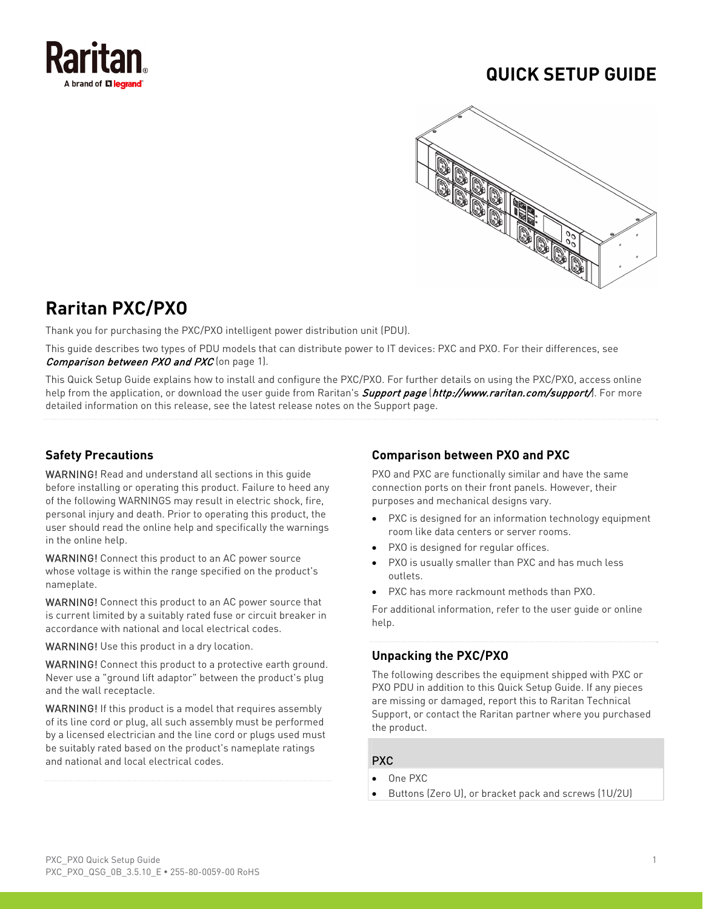

# **QUICK SETUP GUIDE**



# **Raritan PXC/PXO**

Thank you for purchasing the PXC/PXO intelligent power distribution unit (PDU).

This guide describes two types of PDU models that can distribute power to IT devices: PXC and PXO. For their differences, see Comparison between PXO and PXC (on page [1\)](#page-0-0).

This Quick Setup Guide explains how to install and configure the PXC/PXO. For further details on using the PXC/PXO, access online help from the application, or download the user quide from Raritan's *Support page (<http://www.raritan.com/support/>*). For more detailed information on this release, see the latest release notes on the Support page.

# <span id="page-0-0"></span>**Safety Precautions**

WARNING! Read and understand all sections in this guide before installing or operating this product. Failure to heed any of the following WARNINGS may result in electric shock, fire, personal injury and death. Prior to operating this product, the user should read the online help and specifically the warnings in the online help.

WARNING! Connect this product to an AC power source whose voltage is within the range specified on the product's nameplate.

WARNING! Connect this product to an AC power source that is current limited by a suitably rated fuse or circuit breaker in accordance with national and local electrical codes.

WARNING! Use this product in a dry location.

WARNING! Connect this product to a protective earth ground. Never use a "ground lift adaptor" between the product's plug and the wall receptacle.

WARNING! If this product is a model that requires assembly of its line cord or plug, all such assembly must be performed by a licensed electrician and the line cord or plugs used must be suitably rated based on the product's nameplate ratings and national and local electrical codes.

# **Comparison between PXO and PXC**

PXO and PXC are functionally similar and have the same connection ports on their front panels. However, their purposes and mechanical designs vary.

- PXC is designed for an information technology equipment room like data centers or server rooms.
- PXO is designed for regular offices.
- PXO is usually smaller than PXC and has much less outlets.
- PXC has more rackmount methods than PXO.

For additional information, refer to the user guide or online help.

# **Unpacking the PXC/PXO**

The following describes the equipment shipped with PXC or PXO PDU in addition to this Quick Setup Guide. If any pieces are missing or damaged, report this to Raritan Technical Support, or contact the Raritan partner where you purchased the product.

## PXC

- One PXC
- Buttons (Zero U), or bracket pack and screws (1U/2U)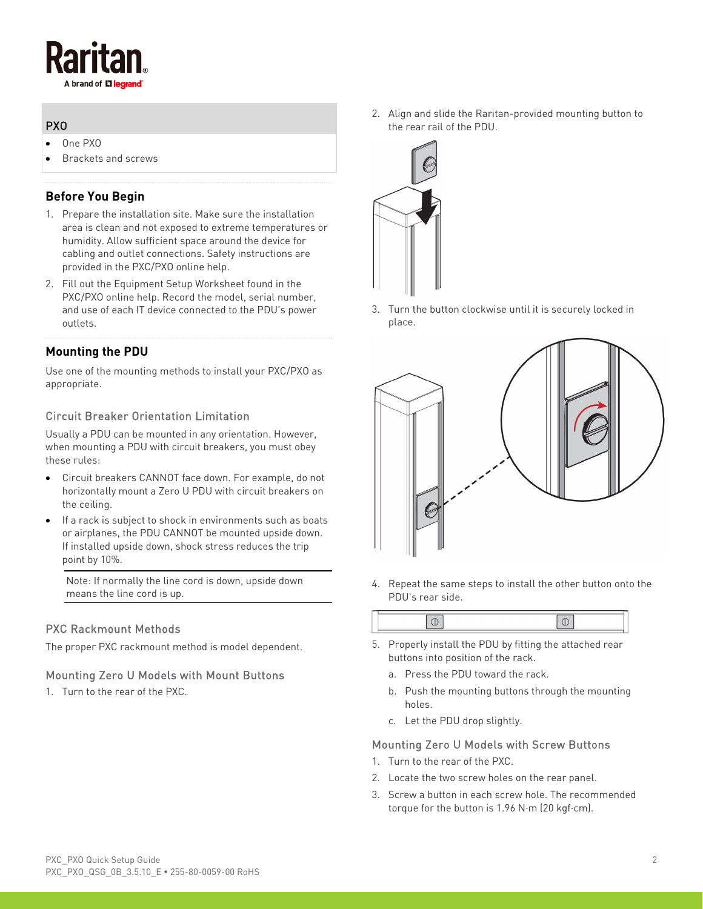

# PXO

- One PXO
- Brackets and screws

# **Before You Begin**

- 1. Prepare the installation site. Make sure the installation area is clean and not exposed to extreme temperatures or humidity. Allow sufficient space around the device for cabling and outlet connections. Safety instructions are provided in the PXC/PXO online help.
- 2. Fill out the Equipment Setup Worksheet found in the PXC/PXO online help. Record the model, serial number, and use of each IT device connected to the PDU's power outlets.

# **Mounting the PDU**

Use one of the mounting methods to install your PXC/PXO as appropriate.

# Circuit Breaker Orientation Limitation

Usually a PDU can be mounted in any orientation. However, when mounting a PDU with circuit breakers, you must obey these rules:

- Circuit breakers CANNOT face down. For example, do not horizontally mount a Zero U PDU with circuit breakers on the ceiling.
- If a rack is subject to shock in environments such as boats or airplanes, the PDU CANNOT be mounted upside down. If installed upside down, shock stress reduces the trip point by 10%.

Note: If normally the line cord is down, upside down means the line cord is up.

# PXC Rackmount Methods

The proper PXC rackmount method is model dependent.

## Mounting Zero U Models with Mount Buttons

1. Turn to the rear of the PXC.

2. Align and slide the Raritan-provided mounting button to the rear rail of the PDU.



3. Turn the button clockwise until it is securely locked in place.



4. Repeat the same steps to install the other button onto the PDU's rear side.

- 5. Properly install the PDU by fitting the attached rear buttons into position of the rack.
	- a. Press the PDU toward the rack.
	- b. Push the mounting buttons through the mounting holes.
	- c. Let the PDU drop slightly.

## Mounting Zero U Models with Screw Buttons

- 1. Turn to the rear of the PXC.
- 2. Locate the two screw holes on the rear panel.
- 3. Screw a button in each screw hole. The recommended torque for the button is 1.96 N·m (20 kgf·cm).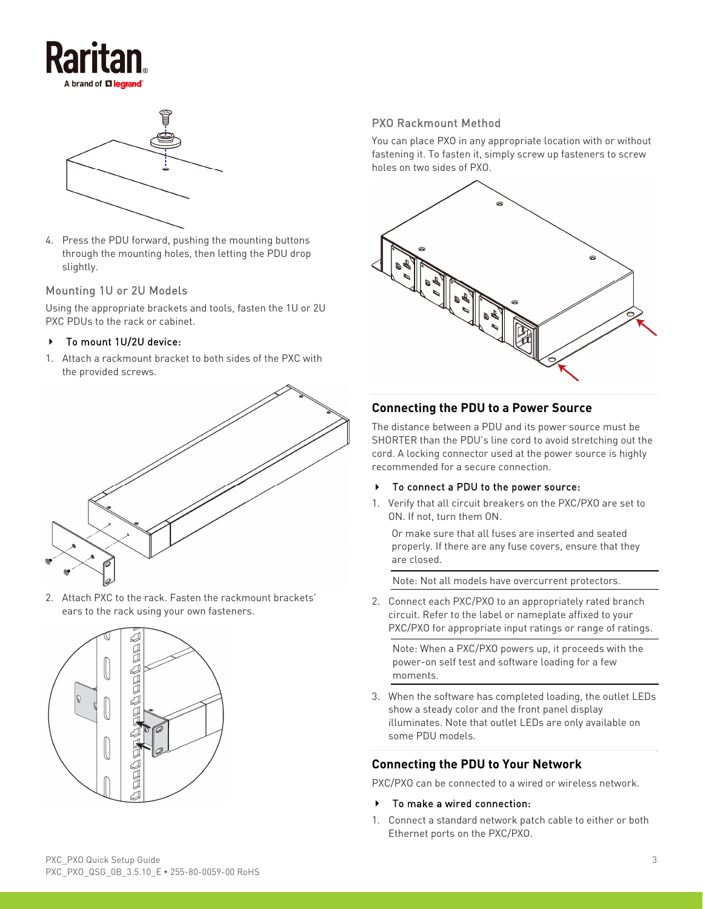



4. Press the PDU forward, pushing the mounting buttons through the mounting holes, then letting the PDU drop slightly.

#### Mounting 1U or 2U Models

Using the appropriate brackets and tools, fasten the 1U or 2U PXC PDUs to the rack or cabinet.

#### ▶ To mount 1U/2U device:

1. Attach a rackmount bracket to both sides of the PXC with the provided screws.



2. Attach PXC to the rack. Fasten the rackmount brackets' ears to the rack using your own fasteners.



# PXO Rackmount Method

You can place PXO in any appropriate location with or without fastening it. To fasten it, simply screw up fasteners to screw holes on two sides of PXO.



## **Connecting the PDU to a Power Source**

The distance between a PDU and its power source must be SHORTER than the PDU's line cord to avoid stretching out the cord. A locking connector used at the power source is highly recommended for a secure connection.

#### To connect a PDU to the power source:

1. Verify that all circuit breakers on the PXC/PXO are set to ON. If not, turn them ON.

Or make sure that all fuses are inserted and seated properly. If there are any fuse covers, ensure that they are closed.

Note: Not all models have overcurrent protectors.

2. Connect each PXC/PXO to an appropriately rated branch circuit. Refer to the label or nameplate affixed to your PXC/PXO for appropriate input ratings or range of ratings.

Note: When a PXC/PXO powers up, it proceeds with the power-on self test and software loading for a few moments.

3. When the software has completed loading, the outlet LEDs show a steady color and the front panel display illuminates. Note that outlet LEDs are only available on some PDU models.

## **Connecting the PDU to Your Network**

PXC/PXO can be connected to a wired or wireless network.

- To make a wired connection:
- 1. Connect a standard network patch cable to either or both Ethernet ports on the PXC/PXO.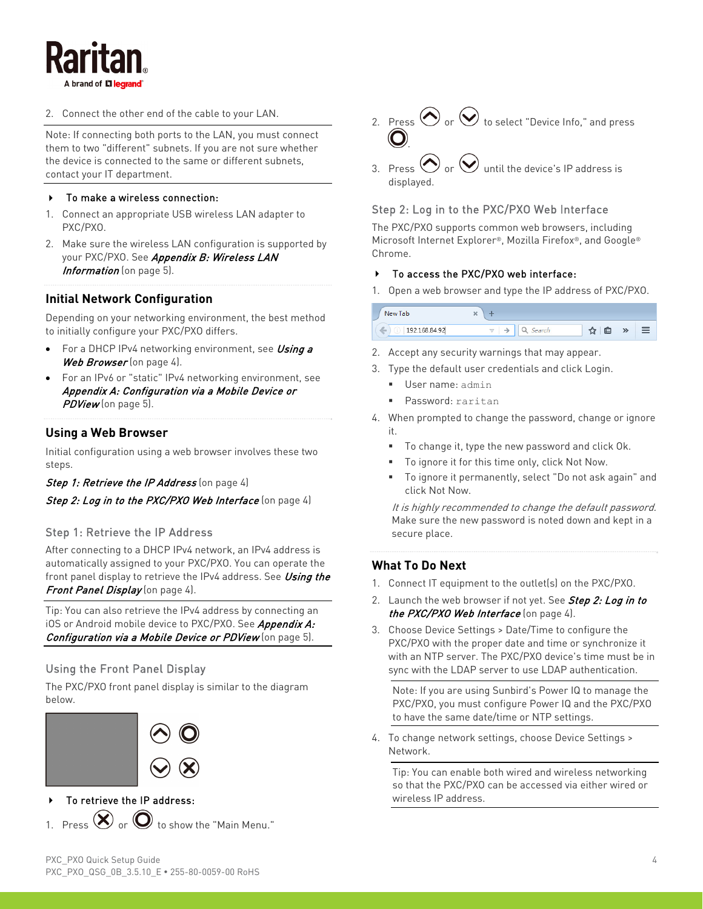í

2. Connect the other end of the cable to your LAN.

Note: If connecting both ports to the LAN, you must connect them to two "different" subnets. If you are not sure whether the device is connected to the same or different subnets, contact your IT department.

#### ▶ To make a wireless connection:

- <span id="page-3-2"></span>1. Connect an appropriate USB wireless LAN adapter to PXC/PXO.
- 2. Make sure the wireless LAN configuration is supported by your PXC/PXO. See Appendix B: Wireless LAN Information (on page [5\)](#page-4-0).

# **Initial Network Configuration**

Depending on your networking environment, the best method to initially configure your PXC/PXO differs.

- For a DHCP IPv4 networking environment, see Using a Web Browser (on page [4\)](#page-3-0).
- For an IPv6 or "static" IPv4 networking environment, see Appendix A: Configuration via a Mobile Device or PDView (on page [5\)](#page-4-1).

## <span id="page-3-0"></span>**Using a Web Browser**

Initial configuration using a web browser involves these two steps.

#### Step 1: Retrieve the IP Address (on page [4](#page-3-1))

#### Step 2: Log in to the PXC/PXO Web Interface (on page [4\)](#page-3-2)

#### <span id="page-3-1"></span>Step 1: Retrieve the IP Address

After connecting to a DHCP IPv4 network, an IPv4 address is automatically assigned to your PXC/PXO. You can operate the front panel display to retrieve the IPv4 address. See Using the Front Panel Display (on page [4\)](#page-3-3).

Tip: You can also retrieve the IPv4 address by connecting an iOS or Android mobile device to PXC/PXO. See Appendix A: Configuration via a Mobile Device or PDView (on page [5\)](#page-4-1).

## <span id="page-3-3"></span>Using the Front Panel Display

The PXC/PXO front panel display is similar to the diagram below.



# To retrieve the IP address:

1. Press  $\bigotimes$  or  $\bigodot$  to show the "Main Menu."

- 2. Press  $\bigodot$  or  $\bigodot$  to select "Device Info," and press .
- 3. Press  $\bigodot$  or  $\bigodot$  until the device's IP address is displayed.

## Step 2: Log in to the PXC/PXO Web Interface

The PXC/PXO supports common web browsers, including Microsoft Internet Explorer®, Mozilla Firefox®, and Google® Chrome.

## To access the PXC/PXO web interface:

1. Open a web browser and type the IP address of PXC/PXO.

| New Tab                       | 灬 |            |  |
|-------------------------------|---|------------|--|
| $\mathbb{Z}$<br>192.168.84.92 |   | $\geq$<br> |  |

- 2. Accept any security warnings that may appear.
- 3. Type the default user credentials and click Login.
	- User name: admin
	- Password: raritan
- 4. When prompted to change the password, change or ignore it.
	- To change it, type the new password and click Ok.
	- To ignore it for this time only, click Not Now.
	- To ignore it permanently, select "Do not ask again" and click Not Now.

It is highly recommended to change the default password. Make sure the new password is noted down and kept in a secure place.

## **What To Do Next**

- 1. Connect IT equipment to the outlet(s) on the PXC/PXO.
- 2. Launch the web browser if not yet. See Step 2: Log in to the PXC/PXO Web Interface (on page [4](#page-3-2)).
- 3. Choose Device Settings > Date/Time to configure the PXC/PXO with the proper date and time or synchronize it with an NTP server. The PXC/PXO device's time must be in sync with the LDAP server to use LDAP authentication.

Note: If you are using Sunbird's Power IQ to manage the PXC/PXO, you must configure Power IQ and the PXC/PXO to have the same date/time or NTP settings.

4. To change network settings, choose Device Settings > Network.

Tip: You can enable both wired and wireless networking so that the PXC/PXO can be accessed via either wired or wireless IP address.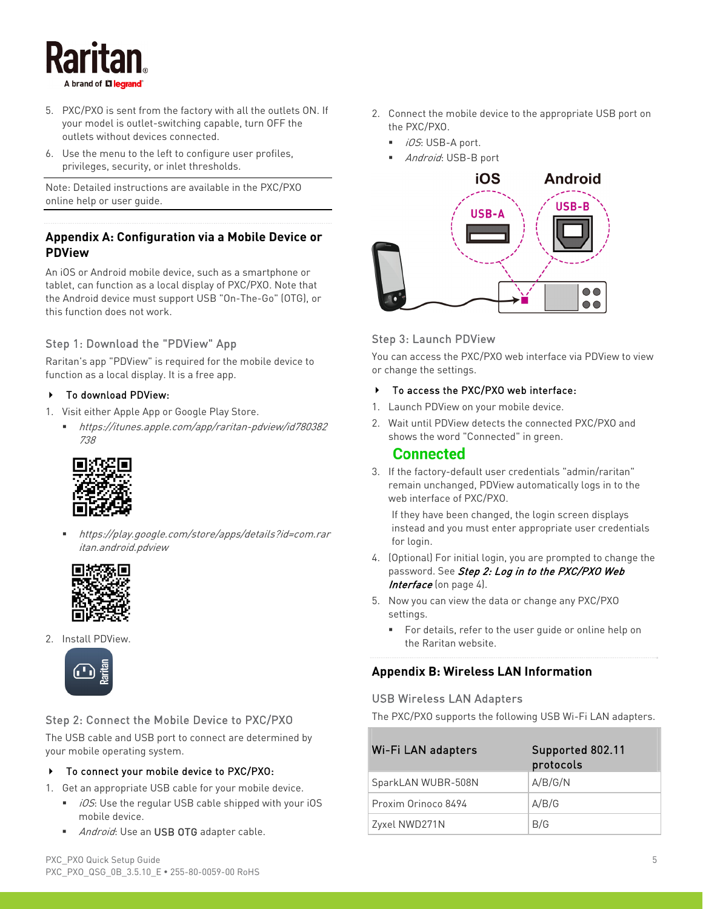

- 5. PXC/PXO is sent from the factory with all the outlets ON. If your model is outlet-switching capable, turn OFF the outlets without devices connected.
- 6. Use the menu to the left to configure user profiles, privileges, security, or inlet thresholds.

Note: Detailed instructions are available in the PXC/PXO online help or user guide.

# <span id="page-4-1"></span>**Appendix A: Configuration via a Mobile Device or PDView**

An iOS or Android mobile device, such as a smartphone or tablet, can function as a local display of PXC/PXO. Note that the Android device must support USB "On-The-Go" (OTG), or this function does not work.

# Step 1: Download the "PDView" App

Raritan's app "PDView" is required for the mobile device to function as a local display. It is a free app.

## ▶ To download PDView:

- 1. Visit either Apple App or Google Play Store.
	- https://itunes.apple.com/app/raritan-pdview/id780382 738



 https://play.google.com/store/apps/details?id=com.rar itan.android.pdview



<span id="page-4-0"></span>2. Install PDView.



## <span id="page-4-2"></span>Step 2: Connect the Mobile Device to PXC/PXO

The USB cable and USB port to connect are determined by your mobile operating system.

#### ▶ To connect your mobile device to PXC/PXO:

- 1. Get an appropriate USB cable for your mobile device.
	- $\blacksquare$  *iOS*: Use the regular USB cable shipped with your iOS mobile device.
	- Android: Use an USB OTG adapter cable.
- 2. Connect the mobile device to the appropriate USB port on the PXC/PXO.
	- iOS: USB-A port.
	- Android: USB-B port



## Step 3: Launch PDView

You can access the PXC/PXO web interface via PDView to view or change the settings.

#### To access the PXC/PXO web interface:

- 1. Launch PDView on your mobile device.
- 2. Wait until PDView detects the connected PXC/PXO and shows the word "Connected" in green.

## Connected

3. If the factory-default user credentials "admin/raritan" remain unchanged, PDView automatically logs in to the web interface of PXC/PXO.

If they have been changed, the login screen displays instead and you must enter appropriate user credentials for login.

- 4. (Optional) For initial login, you are prompted to change the password. See Step 2: Log in to the PXC/PXO Web Interface (on page [4\)](#page-3-2).
- 5. Now you can view the data or change any PXC/PXO settings.
	- For details, refer to the user guide or online help on the Raritan website.

# **Appendix B: Wireless LAN Information**

#### USB Wireless LAN Adapters

The PXC/PXO supports the following USB Wi-Fi LAN adapters.

| Wi-Fi LAN adapters  | Supported 802.11<br>protocols |
|---------------------|-------------------------------|
| SparkLAN WUBR-508N  | A/B/G/N                       |
| Proxim Orinoco 8494 | A/B/G                         |
| Zyxel NWD271N       | B/G                           |